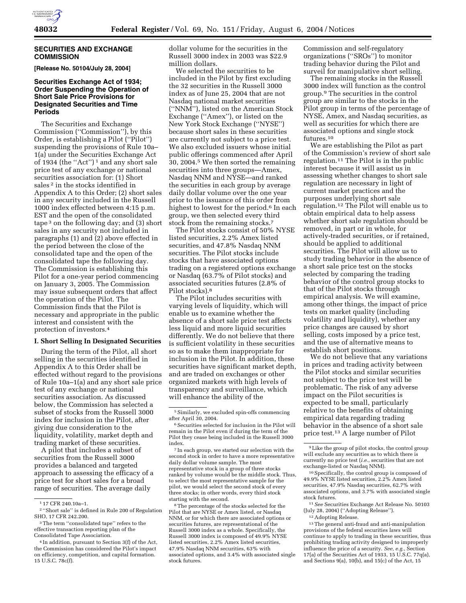

#### **SECURITIES AND EXCHANGE COMMISSION**

**[Release No. 50104/July 28, 2004]** 

# **Securities Exchange Act of 1934; Order Suspending the Operation of Short Sale Price Provisions for Designated Securities and Time Periods**

The Securities and Exchange Commission (''Commission''), by this Order, is establishing a Pilot (''Pilot'') suspending the provisions of Rule 10a– 1(a) under the Securities Exchange Act of 1934 (the ''Act'') 1 and any short sale price test of any exchange or national securities association for: (1) Short sales<sup>2</sup> in the stocks identified in Appendix A to this Order; (2) short sales in any security included in the Russell 1000 index effected between 4:15 p.m. EST and the open of the consolidated tape  $3$  on the following day; and  $(3)$  short sales in any security not included in paragraphs (1) and (2) above effected in the period between the close of the consolidated tape and the open of the consolidated tape the following day. The Commission is establishing this Pilot for a one-year period commencing on January 3, 2005. The Commission may issue subsequent orders that affect the operation of the Pilot. The Commission finds that the Pilot is necessary and appropriate in the public interest and consistent with the protection of investors.4

#### **I. Short Selling In Designated Securities**

During the term of the Pilot, all short selling in the securities identified in Appendix A to this Order shall be effected without regard to the provisions of Rule 10a–1(a) and any short sale price test of any exchange or national securities association. As discussed below, the Commission has selected a subset of stocks from the Russell 3000 index for inclusion in the Pilot, after giving due consideration to the liquidity, volatility, market depth and trading market of these securities.

A pilot that includes a subset of securities from the Russell 3000 provides a balanced and targeted approach to assessing the efficacy of a price test for short sales for a broad range of securities. The average daily

dollar volume for the securities in the Russell 3000 index in 2003 was \$22.9 million dollars.

We selected the securities to be included in the Pilot by first excluding the 32 securities in the Russell 3000 index as of June 25, 2004 that are not Nasdaq national market securities (''NNM''), listed on the American Stock Exchange (''Amex''), or listed on the New York Stock Exchange (''NYSE'') because short sales in these securities are currently not subject to a price test. We also excluded issuers whose initial public offerings commenced after April 30, 2004.5 We then sorted the remaining securities into three groups—Amex, Nasdaq NNM and NYSE—and ranked the securities in each group by average daily dollar volume over the one year prior to the issuance of this order from highest to lowest for the period.<sup>6</sup> In each group, we then selected every third stock from the remaining stocks.7

The Pilot stocks consist of 50% NYSE listed securities, 2.2% Amex listed securities, and 47.8% Nasdaq NNM securities. The Pilot stocks include stocks that have associated options trading on a registered options exchange or Nasdaq (63.7% of Pilot stocks) and associated securities futures (2.8% of Pilot stocks).8

The Pilot includes securities with varying levels of liquidity, which will enable us to examine whether the absence of a short sale price test affects less liquid and more liquid securities differently. We do not believe that there is sufficient volatility in these securities so as to make them inappropriate for inclusion in the Pilot. In addition, these securities have significant market depth, and are traded on exchanges or other organized markets with high levels of transparency and surveillance, which will enhance the ability of the

7 In each group, we started our selection with the second stock in order to have a more representative daily dollar volume sample. The most representative stock in a group of three stocks ranked by volume would be the middle stock. Thus, to select the most representative sample for the pilot, we would select the second stock of every three stocks; in other words, every third stock starting with the second.

8The percentage of the stocks selected for the Pilot that are NYSE or Amex listed, or Nasdaq NNM, or for which there are associated options or securities futures, are representational of the Russell 3000 index as a whole. Specifically, the Russell 3000 index is composed of 49.9% NYSE listed securities, 2.2% Amex listed securities, 47.9% Nasdaq NNM securities, 63% with associated options, and 3.4% with associated single stock futures.

Commission and self-regulatory organizations (''SROs'') to monitor trading behavior during the Pilot and surveil for manipulative short selling.

The remaining stocks in the Russell 3000 index will function as the control group.9 The securities in the control group are similar to the stocks in the Pilot group in terms of the percentage of NYSE, Amex, and Nasdaq securities, as well as securities for which there are associated options and single stock futures.10

We are establishing the Pilot as part of the Commission's review of short sale regulation.11 The Pilot is in the public interest because it will assist us in assessing whether changes to short sale regulation are necessary in light of current market practices and the purposes underlying short sale regulation.12 The Pilot will enable us to obtain empirical data to help assess whether short sale regulation should be removed, in part or in whole, for actively-traded securities, or if retained, should be applied to additional securities. The Pilot will allow us to study trading behavior in the absence of a short sale price test on the stocks selected by comparing the trading behavior of the control group stocks to that of the Pilot stocks through empirical analysis. We will examine, among other things, the impact of price tests on market quality (including volatility and liquidity), whether any price changes are caused by short selling, costs imposed by a price test, and the use of alternative means to establish short positions.

We do not believe that any variations in prices and trading activity between the Pilot stocks and similar securities not subject to the price test will be problematic. The risk of any adverse impact on the Pilot securities is expected to be small, particularly relative to the benefits of obtaining empirical data regarding trading behavior in the absence of a short sale price test.13 A large number of Pilot

11*See* Securities Exchange Act Release No. 50103 (July 28, 2004) (''Adopting Release'').

13The general anti-fraud and anti-manipulation provisions of the federal securities laws will continue to apply to trading in these securities, thus prohibiting trading activity designed to improperly influence the price of a security. *See, e.g.*, Section 17(a) of the Securities Act of 1933, 15 U.S.C. 77q(a), and Sections 9(a), 10(b), and 15(c) of the Act,  $15^{\frac{1}{2}}$ 

<sup>1</sup> 17 CFR 240.10a–1.

<sup>2</sup> ''Short sale'' is defined in Rule 200 of Regulation SHO, 17 CFR 242.200.

<sup>3</sup>The term ''consolidated tape'' refers to the effective transaction reporting plan of the Consolidated Tape Association.

<sup>4</sup> In addition, pursuant to Section 3(f) of the Act, the Commission has considered the Pilot's impact on efficiency, competition, and capital formation. 15 U.S.C. 78c(f).

<sup>5</sup>Similarly, we excluded spin-offs commencing after April 30, 2004.

 $^6\,$  Securities selected for inclusion in the Pilot will remain in the Pilot even if during the term of the Pilot they cease being included in the Russell 3000 index.

<sup>9</sup>Like the group of pilot stocks, the control group will exclude any securities as to which there is currently no price test (*i.e.*, securities that are not exchange-listed or Nasdaq NNM).

<sup>10</sup>Specifically, the control group is composed of 49.9% NYSE listed securities, 2.2% Amex listed securities, 47.9% Nasdaq securities, 62.7% with associated options, and 3.7% with associated single stock futures.

<sup>12</sup>Adopting Release.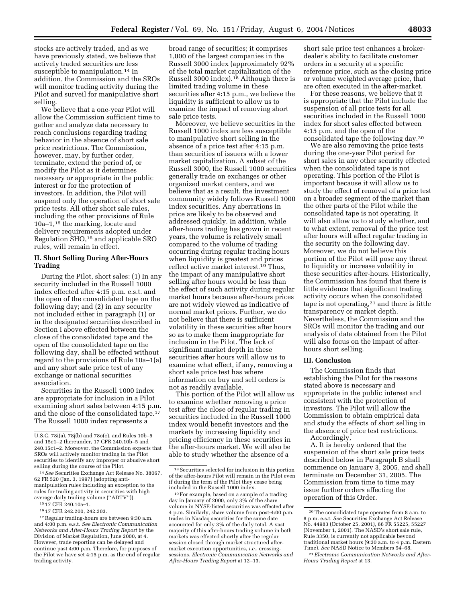stocks are actively traded, and as we have previously stated, we believe that actively traded securities are less susceptible to manipulation.<sup>14</sup> In addition, the Commission and the SROs will monitor trading activity during the Pilot and surveil for manipulative short selling.

We believe that a one-year Pilot will allow the Commission sufficient time to gather and analyze data necessary to reach conclusions regarding trading behavior in the absence of short sale price restrictions. The Commission, however, may, by further order, terminate, extend the period of, or modify the Pilot as it determines necessary or appropriate in the public interest or for the protection of investors. In addition, the Pilot will suspend only the operation of short sale price tests. All other short sale rules, including the other provisions of Rule 10a–1,15 the marking, locate and delivery requirements adopted under Regulation SHO,16 and applicable SRO rules, will remain in effect.

# **II. Short Selling During After-Hours Trading**

During the Pilot, short sales: (1) In any security included in the Russell 1000 index effected after 4:15 p.m. e.s.t. and the open of the consolidated tape on the following day; and (2) in any security not included either in paragraph (1) or in the designated securities described in Section I above effected between the close of the consolidated tape and the open of the consolidated tape on the following day, shall be effected without regard to the provisions of Rule 10a–1(a) and any short sale price test of any exchange or national securities association.

Securities in the Russell 1000 index are appropriate for inclusion in a Pilot examining short sales between 4:15 p.m. and the close of the consolidated tape.17 The Russell 1000 index represents a

broad range of securities; it comprises 1,000 of the largest companies in the Russell 3000 index (approximately 92% of the total market capitalization of the Russell 3000 index).<sup>18</sup> Although there is limited trading volume in these securities after 4:15 p.m., we believe the liquidity is sufficient to allow us to examine the impact of removing short sale price tests.

Moreover, we believe securities in the Russell 1000 index are less susceptible to manipulative short selling in the absence of a price test after 4:15 p.m. than securities of issuers with a lower market capitalization. A subset of the Russell 3000, the Russell 1000 securities generally trade on exchanges or other organized market centers, and we believe that as a result, the investment community widely follows Russell 1000 index securities. Any aberrations in price are likely to be observed and addressed quickly. In addition, while after-hours trading has grown in recent years, the volume is relatively small compared to the volume of trading occurring during regular trading hours when liquidity is greatest and prices reflect active market interest.19 Thus, the impact of any manipulative short selling after hours would be less than the effect of such activity during regular market hours because after-hours prices are not widely viewed as indicative of normal market prices. Further, we do not believe that there is sufficient volatility in these securities after hours so as to make them inappropriate for inclusion in the Pilot. The lack of significant market depth in these securities after hours will allow us to examine what effect, if any, removing a short sale price test has where information on buy and sell orders is not as readily available.

This portion of the Pilot will allow us to examine whether removing a price test after the close of regular trading in securities included in the Russell 1000 index would benefit investors and the markets by increasing liquidity and pricing efficiency in these securities in the after-hours market. We will also be able to study whether the absence of a

short sale price test enhances a brokerdealer's ability to facilitate customer orders in a security at a specific reference price, such as the closing price or volume weighted average price, that are often executed in the after-market.

For these reasons, we believe that it is appropriate that the Pilot include the suspension of all price tests for all securities included in the Russell 1000 index for short sales effected between 4:15 p.m. and the open of the consolidated tape the following day.20

We are also removing the price tests during the one-year Pilot period for short sales in any other security effected when the consolidated tape is not operating. This portion of the Pilot is important because it will allow us to study the effect of removal of a price test on a broader segment of the market than the other parts of the Pilot while the consolidated tape is not operating. It will also allow us to study whether, and to what extent, removal of the price test after hours will affect regular trading in the security on the following day. Moreover, we do not believe this portion of the Pilot will pose any threat to liquidity or increase volatility in these securities after-hours. Historically, the Commission has found that there is little evidence that significant trading activity occurs when the consolidated tape is not operating,<sup>21</sup> and there is little transparency or market depth. Nevertheless, the Commission and the SROs will monitor the trading and our analysis of data obtained from the Pilot will also focus on the impact of afterhours short selling.

### **III. Conclusion**

The Commission finds that establishing the Pilot for the reasons stated above is necessary and appropriate in the public interest and consistent with the protection of investors. The Pilot will allow the Commission to obtain empirical data and study the effects of short selling in the absence of price test restrictions. Accordingly,

A. It is hereby ordered that the suspension of the short sale price tests described below in Paragraph B shall commence on January 3, 2005, and shall terminate on December 31, 2005. The Commission from time to time may issue further orders affecting the operation of this Order.

U.S.C. 78i(a), 78j(b) and 78o(c), and Rules 10b–5 and 15c1–2 thereunder, 17 CFR 240.10b–5 and 240.15c1–2. Moreover, the Commission expects that SROs will actively monitor trading in the Pilot securities to identify any improper or abusive short selling during the course of the Pilot.

<sup>14</sup>*See* Securities Exchange Act Release No. 38067, 62 FR 520 (Jan. 3, 1997) (adopting antimanipulation rules including an exception to the rules for trading activity in securities with high average daily trading volume (''ADTV'')).

<sup>15</sup> 17 CFR 240.10a–1.

<sup>16</sup> 17 CFR 242.200, 242.203.

<sup>17</sup>Regular trading-hours are between 9:30 a.m. and 4:00 p.m. e.s.t. *See Electronic Communication Networks and After-Hours Trading Report* by the Division of Market Regulation, June 2000, at 4. However, trade reporting can be delayed and continue past 4:00 p.m. Therefore, for purposes of the Pilot we have set 4:15 p.m. as the end of regular trading activity.

<sup>18</sup>Securities selected for inclusion in this portion of the after-hours Pilot will remain in the Pilot even if during the term of the Pilot they cease being included in the Russell 1000 index.

<sup>19</sup>For example, based on a sample of a trading day in January of 2000, only 3% of the share volume in NYSE-listed securities was effected after 4 p.m. Similarly, share volume from post-4:00 p.m. trades in Nasdaq securities for the same date accounted for only 3% of the daily total. A vast majority of this after-hours trading volume in both markets was effected shortly after the regular session closed through market structured aftermarket execution opportunities, *i.e.*, crossingsessions. *Electronic Communication Networks and After-Hours Trading Report* at 12–13.

<sup>20</sup>The consolidated tape operates from 8 a.m. to 8 p.m. e.s.t. *See* Securities Exchange Act Release No. 44983 (October 25, 2001), 66 FR 55225, 55227 (November 1, 2001). The NASD's short sale rule, Rule 3350, is currently not applicable beyond traditional market hours (9:30 a.m. to 4 p.m. Eastern Time). *See* NASD Notice to Members 94–68.

<sup>21</sup>*Electronic Communication Networks and After-Hours Trading Report* at 13.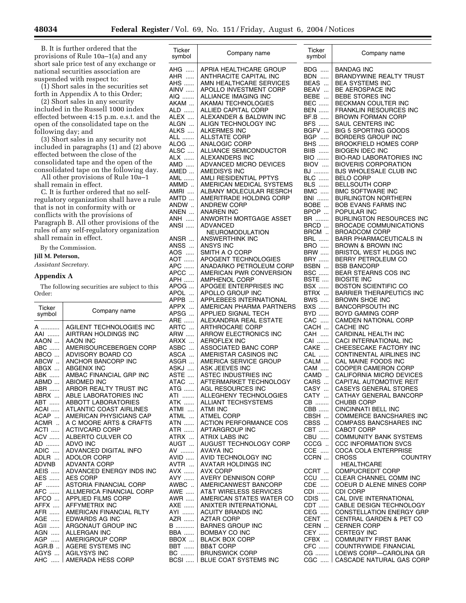B. It is further ordered that the provisions of Rule 10a–1(a) and any short sale price test of any exchange or national securities association are suspended with respect to:

(1) Short sales in the securities set forth in Appendix A to this Order;

(2) Short sales in any security included in the Russell 1000 index effected between 4:15 p.m. e.s.t. and the open of the consolidated tape on the following day; and

(3) Short sales in any security not included in paragraphs (1) and (2) above effected between the close of the consolidated tape and the open of the consolidated tape on the following day.

All other provisions of Rule 10a–1 shall remain in effect.

C. It is further ordered that no selfregulatory organization shall have a rule that is not in conformity with or conflicts with the provisions of Paragraph B. All other provisions of the rules of any self-regulatory organization shall remain in effect.

By the Commission.

**Jill M. Peterson,** 

*Assistant Secretary.*

## **Appendix A**

The following securities are subject to this Order:

| Ticker<br>symbol       | Company name                    |
|------------------------|---------------------------------|
| A                      | AGILENT TECHNOLOGIES INC        |
| AAI                    | AIRTRAN HOLDINGS INC            |
| AAON                   | <b>AAON INC</b>                 |
| ABC                    | AMERISOURCEBERGEN CORP          |
| ABCO                   | ADVISORY BOARD CO               |
| ABCW                   | ANCHOR BANCORP INC              |
| ABGX                   | <b>ABGENIX INC</b>              |
| ABK                    | AMBAC FINANCIAL GRP INC         |
| ABMD                   | <b>ABIOMED INC</b>              |
| ABR                    | ARBOR REALTY TRUST INC          |
| ABRX                   | ABLE LABORATORIES INC           |
| ABT                    | <b>ABBOTT LABORATORIES</b>      |
| ACAI                   | <b>ATLANTIC COAST AIRLINES</b>  |
| ACAP                   | AMERICAN PHYSICIANS CAP         |
| ACMR.                  | A C MOORE ARTS & CRAFTS         |
| ACTI                   | <b>ACTIVCARD CORP</b>           |
| <b>ACV</b>             | ALBERTO CULVER CO               |
| AD                     | <b>ADVO INC</b>                 |
| ADIC                   | ADVANCED DIGITAL INFO           |
| ADLR                   | <b>ADOLOR CORP</b>              |
| ADVNB                  | <b>ADVANTA CORP</b>             |
| AEIS                   | ADVANCED ENERGY INDS INC        |
| AES                    | <b>AES CORP</b>                 |
| AF                     | <b>ASTORIA FINANCIAL CORP</b>   |
| AFC                    | <b>ALLMERICA FINANCIAL CORP</b> |
| AFCO                   | <b>APPLIED FILMS CORP</b>       |
| AFFX                   | <b>AFFYMETRIX INC</b>           |
| AFR                    | AMERICAN FINANCIAL RLTY         |
| AGE                    | <b>EDWARDS AG INC</b>           |
| AGII                   | ARGONAUT GROUP INC              |
| AGN                    | <b>ALLERGAN INC</b>             |
| AGP                    | AMERIGROUP CORP                 |
| $AGR.B$                | AGERE SYSTEMS INC               |
| AGYS                   | <b>AGILYSYS INC</b>             |
| <b>AHC</b><br>$\ldots$ | AMERADA HESS CORP               |

| Ticker<br>symbol | Company name                                          | Ticker<br>symbol         | Company name                                        |
|------------------|-------------------------------------------------------|--------------------------|-----------------------------------------------------|
| AHG              | APRIA HEALTHCARE GROUP                                | <b>BDG</b>               | <b>BANDAG INC</b>                                   |
| AHR              | ANTHRACITE CAPITAL INC                                | <b>BDN</b>               | <b>BRANDYWINE REALTY TRUST</b>                      |
| AHS              | AMN HEALTHCARE SERVICES                               | BEAS                     | <b>BEA SYSTEMS INC</b>                              |
| AINV             | APOLLO INVESTMENT CORP                                | BEAV                     | <b>BE AEROSPACE INC</b>                             |
| AIQ              | ALLIANCE IMAGING INC                                  | BEBE                     | BEBE STORES INC                                     |
| AKAM             | AKAMAI TECHNOLOGIES                                   | <b>BEC </b>              | BECKMAN COULTER INC                                 |
| ALD              | ALLIED CAPITAL CORP                                   | <b>BEN</b>               | <b>FRANKLIN RESOURCES INC</b>                       |
| ALEX             | ALEXANDER & BALDWIN INC                               | BF.B                     | <b>BROWN FORMAN CORP</b>                            |
| ALGN             | ALIGN TECHNOLOGY INC                                  | <b>BFS</b>               | SAUL CENTERS INC                                    |
| ALKS             | <b>ALKERMES INC</b>                                   | BGFV                     | BIG 5 SPORTING GOODS                                |
| ALL              | ALLSTATE CORP                                         | <b>BGP</b>               | BORDERS GROUP INC                                   |
| ALOG             | ANALOGIC CORP                                         | <b>BHS</b>               | <b>BROOKFIELD HOMES CORP</b>                        |
| ALSC             | ALLIANCE SEMICONDUCTOR                                | <b>BIIB</b>              | <b>BIOGEN IDEC INC</b>                              |
| ALX              | ALEXANDERS INC                                        | <b>BIO</b>               | <b>BIO-RAD LABORATORIES INC</b>                     |
| AMD              | ADVANCED MICRO DEVICES                                | BIOV                     | <b>BIOVERIS CORPORATION</b>                         |
| AMED             | AMEDISYS INC                                          | <b>BJ</b>                | BJS WHOLESALE CLUB INC                              |
| AML              | AMLI RESIDENTIAL PPTYS                                | <b>BLC</b>               | <b>BELO CORP</b>                                    |
| AMMD             | AMERICAN MEDICAL SYSTEMS                              | <b>BLS</b>               | <b>BELLSOUTH CORP</b>                               |
| AMRI             | ALBANY MOLECULAR RESRCH                               | BMC                      | <b>BMC SOFTWARE INC</b>                             |
| AMTD  I          | AMERITRADE HOLDING CORP                               | <b>BNI</b>               | <b>BURLINGTON NORTHERN</b>                          |
| ANDW             | <b>ANDREW CORP</b>                                    | BOBE                     | <b>BOB EVANS FARMS INC</b>                          |
| ANEN             | <b>ANAREN INC</b>                                     | BPOP                     | POPULAR INC                                         |
| ANH              | ANWORTH MORTGAGE ASSET                                | BR                       | BURLINGTON RESOURCES INC                            |
| ANSI             | ADVANCED                                              | BRCD                     | <b>BROCADE COMMUNICATIONS</b>                       |
|                  | NEUROMODULATION<br>ANSWERTHINK INC                    | BRCM                     | <b>BROADCOM CORP</b>                                |
| ANSR<br>ANSS     |                                                       | <b>BRL</b><br><b>BRO</b> | <b>BARR PHARMACEUTICALS IN</b><br>BROWN & BROWN INC |
| AOS              | ANSYS INC<br>SMITH A O CORP                           | <b>BRW</b>               | <b>BRISTOL WEST HLDGS INC</b>                       |
| AOT              | APOGENT TECHNOLOGIES                                  | <b>BRY</b>               | BERRY PETROLEUM CO                                  |
| APC              | ANADARKO PETROLEUM CORP                               | BSBN                     | <b>BSB BANCORP</b>                                  |
| APCC             | AMERICAN PWR CONVERSION                               | <b>BSC </b>              | <b>BEAR STEARNS COS INC</b>                         |
| APH              | <b>AMPHENOL CORP</b>                                  | BSTE                     | <b>BIOSITE INC</b>                                  |
| APOG             | APOGEE ENTERPRISES INC                                | <b>BSX </b>              | <b>BOSTON SCIENTIFIC CO</b>                         |
| APOL             | APOLLO GROUP INC                                      | BTRX                     | <b>BARRIER THERAPEUTICS INC</b>                     |
| APPB             | APPLEBEES INTERNATIONAL                               | BWS                      | <b>BROWN SHOE INC</b>                               |
| APPX             | AMERICAN PHARMA PARTNERS                              | <b>BXS</b>               | <b>BANCORPSOUTH INC</b>                             |
| APSG             | APPLIED SIGNAL TECH                                   | <b>BYD</b>               | <b>BOYD GAMING CORP</b>                             |
| ARE              | ALEXANDRIA REAL ESTATE                                | CAC                      | <b>CAMDEN NATIONAL CORP</b>                         |
| ARTC             | ARTHROCARE CORP                                       | CACH                     | <b>CACHE INC</b>                                    |
| ARW              | ARROW ELECTRONICS INC                                 | CAH                      | CARDINAL HEALTH INC                                 |
| ARXX             | <b>AEROFLEX INC</b>                                   | CAI                      | CACI INTERNATIONAL INC                              |
| ASBC             | ASSOCIATED BANC CORP                                  | CAKE                     | CHEESECAKE FACTORY INC                              |
| ASCA             | AMERISTAR CASINOS INC                                 | CAL                      | <b>CONTINENTAL AIRLINES INC</b>                     |
| ASGR             | AMERICA SERVICE GROUP                                 | CALM                     | CAL MAINE FOODS INC                                 |
| ASKJ             | ASK JEEVES INC                                        | CAM                      | COOPER CAMERON CORP                                 |
| ASTE             | ASTEC INDUSTRIES INC                                  | CAMD                     | CALIFORNIA MICRO DEVICES                            |
| ATAC             | AFTERMARKET TECHNOLOGY                                | CARS                     | CAPITAL AUTOMOTIVE REIT                             |
| ATG              | AGL RESOURCES INC<br>ALLEGHENY TECHNOLOGIES           | CASY<br>CATY             | CASEYS GENERAL STORES<br>CATHAY GENERAL BANCORP     |
| ATI   <br>ATK    | ALLIANT TECHSYSTEMS                                   | CB                       | CHUBB CORP                                          |
| ATMI             | ATMI INC                                              | CBB                      | CINCINNATI BELL INC                                 |
| ATML             | <b>ATMEL CORP</b>                                     | CBSH                     | <b>COMMERCE BANCSHARES INC</b>                      |
| ATN              | ACTION PERFORMANCE COS                                | CBSS                     | <b>COMPASS BANCSHARES INC</b>                       |
| ATR              | APTARGROUP INC                                        | CBT                      | CABOT CORP                                          |
|                  | ATRX    ATRIX LABS INC                                | CBU                      | <b>COMMUNITY BANK SYSTEMS</b>                       |
| AUGT             | AUGUST TECHNOLOGY CORP                                | $CCCG$                   | <b>CCC INFORMATION SVCS</b>                         |
|                  | AV  AVAYA INC                                         | CCE                      | <b>COCA COLA ENTERPRISE</b>                         |
| AVID             | AVID TECHNOLOGY INC                                   | CCRN                     | <b>CROSS</b><br><b>COUNTRY</b>                      |
|                  | AVTR    AVATAR HOLDINGS INC                           |                          | <b>HEALTHCARE</b>                                   |
| AVX              | <b>AVX CORP</b>                                       | CCRT                     | <b>COMPUCREDIT CORP</b>                             |
| AVY              | AVERY DENNISON CORP                                   | CCU                      | CLEAR CHANNEL COMM INC                              |
| AWBC             | AMERICANWEST BANCORP                                  | $CDE$                    | COEUR D ALENE MINES CORP                            |
|                  | AWE    AT&T WIRELESS SERVICES                         | CDI                      | CDI CORP                                            |
| AWR              | AMERICAN STATES WATER CO                              | CDIS                     | CAL DIVE INTERNATIONAL                              |
|                  | AXE    ANIXTER INTERNATIONAL                          | CDT                      | CABLE DESIGN TECHNOLOGY                             |
| AYI              | ACUITY BRANDS INC                                     | CEG                      | <b>CONSTELLATION ENERGY GRP</b>                     |
| AZR              | <b>AZTAR CORP</b>                                     | CENT                     | <b>CENTRAL GARDEN &amp; PET CO</b>                  |
| B                | <b>BARNES GROUP INC</b>                               | CERN                     | <b>CERNER CORP</b>                                  |
| <b>BBA</b>       | BOMBAY CO INC                                         | CEY                      | <b>CERTEGY INC</b>                                  |
| BBOX             | <b>BLACK BOX CORP</b>                                 | CFBX                     | <b>COMMUNITY FIRST BANK</b>                         |
|                  | BBT    BB&T CORP                                      |                          | CFC    COUNTRYWIDE FINANCIAL                        |
|                  | BC    BRUNSWICK CORP<br>BCSI    BLUE COAT SYSTEMS INC |                          | CG    LOEWS CORP—CAROLINA GR                        |
|                  |                                                       |                          | CGC    CASCADE NATURAL GAS CORP                     |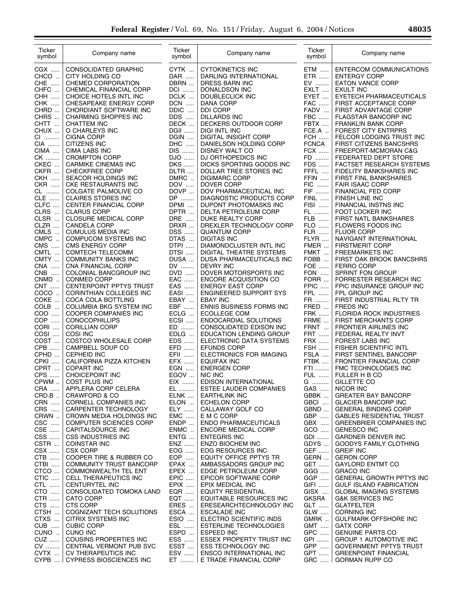÷.

| Ticker<br>symbol       | Company name                                      | Ticker<br>symbol   | Company name                                         | Ticker<br>symbol          | Company name                                                 |
|------------------------|---------------------------------------------------|--------------------|------------------------------------------------------|---------------------------|--------------------------------------------------------------|
| CGX                    | CONSOLIDATED GRAPHIC                              | CYTK               | <b>CYTOKINETICS INC</b>                              | ETM                       | ENTERCOM COMMUNICATIONS                                      |
| CHCO                   | CITY HOLDING CO                                   | DAR                | DARLING INTERNATIONAL                                | ETR                       | <b>ENTERGY CORP</b>                                          |
| CHE                    | CHEMED CORPORATION                                | DBRN               | DRESS BARN INC                                       | EV                        | <b>EATON VANCE CORP</b>                                      |
| CHFC<br>СНН            | CHEMICAL FINANCIAL CORP<br>CHOICE HOTELS INTL INC | <b>DCI</b><br>DCLK | DONALDSON INC<br>DOUBLECLICK INC                     | EXLT<br>EYET              | <b>EXULT INC</b><br>EYETECH PHARMACEUTICALS                  |
| .<br><b>CHK</b>        | CHESAPEAKE ENERGY CORP                            | <b>DCN</b>         | DANA CORP                                            | <b>FAC</b>                | FIRST ACCEPTANCE CORP                                        |
| CHRD                   | CHORDIANT SOFTWARE INC                            | DDIC               | <b>DDI CORP</b>                                      | FADV                      | FIRST ADVANTAGE CORP                                         |
| CHRS                   | CHARMING SHOPPES INC                              | DDS                | DILLARDS INC                                         | ${\sf FBC}$               | FLAGSTAR BANCORP INC                                         |
| CHTT                   | <b>CHATTEM INC</b>                                | DECK               | DECKERS OUTDOOR CORP                                 | FBTX                      | <b>FRANKLIN BANK CORP</b>                                    |
| CHUX                   | O CHARLEYS INC                                    | <b>DGII</b>        | DIGI INTL INC                                        | FCE.A.                    | FOREST CITY ENTRPRS                                          |
| CI                     | <b>CIGNA CORP</b>                                 | DGIN               | DIGITAL INSIGHT CORP                                 | <b>FCH </b>               | FELCOR LODGING TRUST INC                                     |
| $CIA$<br>CIMA          | CITIZENS INC<br><b>CIMA LABS INC</b>              | DHC<br>DIS         | DANIELSON HOLDING CORP<br>DISNEY WALT CO             | <b>FCNCA</b><br>$FCX$     | <b>FIRST CITIZENS BANCSHRS</b><br>FREEPORT-MCMORAN C&G       |
| CK                     | <b>CROMPTON CORP</b>                              | DJO                | DJ ORTHOPEDICS INC                                   | FD                        | FEDERATED DEPT STORE                                         |
| CKEC                   | CARMIKE CINEMAS INC                               | <b>DKS</b>         | DICKS SPORTING GOODS INC                             | FDS                       | FACTSET RESEARCH SYSTEMS                                     |
| CKFR                   | <b>CHECKFREE CORP</b>                             | DLTR               | DOLLAR TREE STORES INC                               | FFFL                      | FIDELITY BANKSHARES INC                                      |
| <b>CKH </b>            | SEACOR HOLDINGS INC                               | DMRC               | <b>DIGIMARC CORP</b>                                 | FFIN                      | FIRST FINL BANKSHARES                                        |
| <b>CKR</b>             | <b>CKE RESTAURANTS INC</b>                        | DOV<br>DOVP        | <b>DOVER CORP</b><br>DOV PHARMACEUTICAL INC          | FIC<br>FIF                | <b>FAIR ISAAC CORP</b>                                       |
| CL<br><b>CLE</b>       | COLGATE PALMOLIVE CO<br><b>CLAIRES STORES INC</b> | DP                 | <b>DIAGNOSTIC PRODUCTS CORP</b>                      | FINL                      | FINANCIAL FED CORP<br><b>FINISH LINE INC</b>                 |
| CLFC                   | <b>CENTER FINANCIAL CORP</b>                      | DPMI               | DUPONT PHOTOMASKS INC                                | FISI                      | FINANCIAL INSTNS INC                                         |
| CLRS                   | <b>CLARUS CORP</b>                                | DPTR               | DELTA PETROLEUM CORP                                 | FL                        | FOOT LOCKER INC                                              |
| CLSR                   | <b>CLOSURE MEDICAL CORP</b>                       | DRE                | DUKE REALTY CORP                                     | <b>FLB</b>                | FIRST NATL BANKSHARES                                        |
| CLZR                   | <b>CANDELA CORP</b>                               | DRXR               | DREXLER TECHNOLOGY CORP                              | FLO                       | FLOWERS FOODS INC                                            |
| CMLS                   | <b>CUMULUS MEDIA INC</b>                          | DSS                | <b>QUANTUM CORP</b>                                  | <b>FLR</b>                | <b>FLUOR CORP</b>                                            |
| CMPC<br>CMS            | <b>COMPUCOM SYSTEMS INC</b><br>CMS ENERGY CORP    | DTAS<br>DTPI       | <b>DIGITAS INC</b><br>DIAMONDCLUSTER INTL INC        | FLYR<br>FMER              | NAVIGANT INTERNATIONAL<br><b>FIRSTMERIT CORP</b>             |
| CMTL                   | <b>COMTECH TELECOMM</b>                           | DTSI               | DIGITAL THEATRE SYSTEMS                              | FMKT                      | <b>FREEMARKETS INC</b>                                       |
| CMTY                   | <b>COMMUNITY BANKS INC</b>                        | DUSA               | DUSA PHARMACEUTICALS INC                             | FOBB                      | FIRST OAK BROOK BANCSHRS                                     |
| <b>CNA</b><br>$\cdots$ | CNA FINANCIAL CORP                                | DV                 | <b>DEVRY INC</b>                                     | <b>FOE</b>                | <b>FERRO CORP</b>                                            |
| <b>CNB</b><br>$\cdots$ | COLONIAL BANCGROUP INC                            | DVD                | DOVER MOTORSPORTS INC                                | FON                       | SPRINT FON GROUP                                             |
| CNMD                   | <b>CONMED CORP</b>                                | EAC                | <b>ENCORE ACQUISITION CO</b>                         | FORR                      | FORRESTER RESEARCH INC                                       |
| <b>CNT</b>             | CENTERPOINT PPTYS TRUST                           | EAS<br>EASI        | <b>ENERGY EAST CORP</b>                              | FPIC                      | FPIC INSURANCE GROUP INC                                     |
| COCO<br>COKE           | CORINTHIAN COLLEGES INC<br>COCA COLA BOTTLING     | EBAY               | ENGINEERED SUPPORT SYS<br><b>EBAY INC</b>            | FPL<br>FR                 | FPL GROUP INC<br>FIRST INDUSTRIAL RLTY TR                    |
| COLB                   | COLUMBIA BKG SYSTEM INC                           | EBF                | ENNIS BUSINESS FORMS INC                             | FRED                      | <b>FREDS INC</b>                                             |
| <b>COO</b><br>$\cdots$ | COOPER COMPANIES INC                              | ECLG               | <b>ECOLLEGE COM</b>                                  | <b>FRK</b>                | FLORIDA ROCK INDUSTRIES                                      |
| COP<br>.               | <b>CONOCOPHILLIPS</b>                             | ECSI               | ENDOCARDIAL SOLUTIONS                                | FRME                      | FIRST MERCHANTS CORP                                         |
| CORI                   | <b>CORILLIAN CORP</b>                             | $\mathsf{ED}$      | CONSOLIDATED EDISON INC                              | FRNT                      | FRONTIER AIRLINES INC                                        |
| COSI                   | <b>COSI INC</b>                                   | EDLG               | EDUCATION LENDING GROUP                              | <b>FRT</b>                | FEDERAL REALTY INVT                                          |
| COST<br>CPB            | COSTCO WHOLESALE CORP<br>CAMPBELL SOUP CO         | EDS<br>EFD         | ELECTRONIC DATA SYSTEMS<br><b>EFUNDS CORP</b>        | <b>FRX</b><br><b>FSH </b> | FOREST LABS INC<br>FISHER SCIENTIFIC INTL                    |
| CPHD                   | <b>CEPHEID INC</b>                                | EFII               | ELECTRONICS FOR IMAGING                              | FSLA                      | FIRST SENTINEL BANCORP                                       |
| CPKI                   | CALIFORNIA PIZZA KITCHEN                          | EFX                | <b>EQUIFAX INC</b>                                   | FTBK                      | FRONTIER FINANCIAL CORP                                      |
| CPRT                   | <b>COPART INC</b>                                 | EGN                | <b>ENERGEN CORP</b>                                  | FTI                       | FMC TECHNOLOGIES INC                                         |
| CPS                    | <b>CHOICEPOINT INC</b>                            | EGOV               | NIC INC                                              | <b>FUL </b>               | FULLER H B CO                                                |
| <b>CPWM</b>            | COST PLUS INC                                     | EIX                | EDISON INTERNATIONAL                                 | G                         | GILLETTE CO                                                  |
| CRA                    | APPLERA CORP CELERA<br><b>CRAWFORD &amp; CO</b>   | EL                 | ESTEE LAUDER COMPANIES                               | GAS                       | NICOR INC<br><b>GREATER BAY BANCORP</b>                      |
| CRD.B.<br>CRN          | <b>CORNELL COMPANIES INC</b>                      | ELNK<br>ELON       | <b>EARTHLINK INC</b><br><b>ECHELON CORP</b>          | GBBK<br>GBCI              | <b>GLACIER BANCORP INC</b>                                   |
| CRS                    | CARPENTER TECHNOLOGY                              | ELY                | CALLAWAY GOLF CO                                     | GBND                      | <b>GENERAL BINDING CORP</b>                                  |
| CRWN                   | CROWN MEDIA HOLDINGS INC                          | <b>EMC</b>         | E M C CORP                                           | GBP                       | <b>GABLES RESIDENTIAL TRUST</b>                              |
| CSC                    | <b>COMPUTER SCIENCES CORP</b>                     | $ENDP$             | <b>ENDO PHARMACEUTICALS</b>                          | GBX                       | <b>GREENBRIER COMPANIES INC</b>                              |
| CSE                    | CAPITALSOURCE INC                                 | ENMC               | ENCORE MEDICAL CORP                                  | GCO                       | <b>GENESCO INC</b>                                           |
| CSS                    | <b>CSS INDUSTRIES INC</b>                         | ENTG               | <b>ENTEGRIS INC</b>                                  | <b>GDI</b>                | <b>GARDNER DENVER INC</b>                                    |
| CSTR<br>CSX            | <b>COINSTAR INC</b><br><b>CSX CORP</b>            | <b>ENZ</b><br>EOG  | <b>ENZO BIOCHEM INC</b><br>EOG RESOURCES INC         | GDYS<br>GEF               | <b>GOODYS FAMILY CLOTHING</b><br><b>GREIF INC</b>            |
| CTB                    | COOPER TIRE & RUBBER CO                           | EOP                | EQUITY OFFICE PPTYS TR                               | GERN                      | <b>GERON CORP</b>                                            |
| CTBI                   | COMMUNITY TRUST BANCORP                           | EPAX               | AMBASSADORS GROUP INC                                | GET                       | <b>GAYLORD ENTMT CO</b>                                      |
| CTCO                   | <b>COMMONWEALTH TEL ENT</b>                       | EPEX               | EDGE PETROLEUM CORP                                  | GGG                       | <b>GRACO INC</b>                                             |
| CTIC                   | CELL THERAPEUTICS INC                             | EPIC               | EPICOR SOFTWARE CORP                                 | GGP                       | <b>GENERAL GROWTH PPTYS INC</b>                              |
| CTL                    | <b>CENTURYTEL INC</b>                             | EPIX               | EPIX MEDICAL INC                                     | GIFI                      | <b>GULF ISLAND FABRICATION</b>                               |
| CTO                    | CONSOLIDATED TOMOKA LAND                          | EQR<br><b>EQT</b>  | <b>EQUITY RESIDENTIAL</b>                            | GISX                      | <b>GLOBAL IMAGING SYSTEMS</b>                                |
| <b>CTR</b><br>CTS      | <b>CATO CORP</b><br>CTS CORP                      | ERES               | EQUITABLE RESOURCES INC<br>ERESEARCHTECHNOLOGY INC   | <b>GKSRA</b><br>GLT       | <b>G&amp;K SERVICES INC</b><br><b>GLATFELTER</b>             |
| CTSH                   | COGNIZANT TECH SOLUTIONS                          | ESCA               | <b>ESCALADE INC</b>                                  | GLW                       | <b>CORNING INC</b>                                           |
| CTXS                   | CITRIX SYSTEMS INC                                | ESIO               | ELECTRO SCIENTIFIC INDS                              | GMRK                      | <b>GULFMARK OFFSHORE INC</b>                                 |
| <b>CUB</b>             | <b>CUBIC CORP</b>                                 | ESL                | ESTERLINE TECHNOLOGIES                               | <b>GMT</b>                | <b>GATX CORP</b>                                             |
| CUNO                   | <b>CUNO INC</b>                                   | ESPD               | <b>ESPEED INC</b>                                    | GPC                       | <b>GENUINE PARTS CO</b>                                      |
| CUZ                    | <b>COUSINS PROPERTIES INC</b>                     | ESS                | <b>ESSEX PROPERTY TRUST INC</b>                      | GPI                       | GROUP 1 AUTOMOTIVE INC                                       |
| CV<br>CVTX             | CENTRAL VERMONT PUB SVC<br>CV THERAPEUTICS INC    | ESST<br>ESV        | <b>ESS TECHNOLOGY INC</b><br>ENSCO INTERNATIONAL INC | GPP<br><b>GPT</b>         | <b>GOVERNMENT PPTYS TRUST</b><br><b>GREENPOINT FINANCIAL</b> |
|                        | CYPB    CYPRESS BIOSCIENCES INC                   |                    | ET    E TRADE FINANCIAL CORP                         | GRC                       | <b>GORMAN RUPP CO</b>                                        |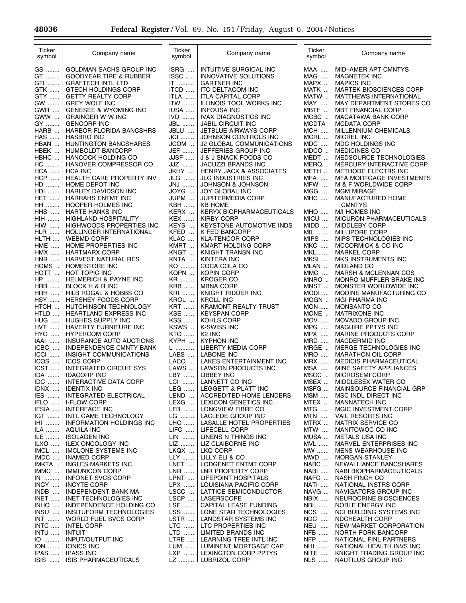$\equiv$ 

 $\equiv$ 

| Ticker<br>symbol               | Company name                                           | Ticker<br>symbol | Company name                                          | Ticker<br>symbol         | Company name                                         |
|--------------------------------|--------------------------------------------------------|------------------|-------------------------------------------------------|--------------------------|------------------------------------------------------|
| GS                             | GOLDMAN SACHS GROUP INC                                | ISRG             | INTUITIVE SURGICAL INC                                | <b>MAA</b>               | MID-AMER APT CMNTYS                                  |
| GT                             | <b>GOODYEAR TIRE &amp; RUBBER</b>                      | ISSC             | INNOVATIVE SOLUTIONS                                  | <b>MAG</b>               | MAGNETEK INC                                         |
| GTI<br>GTK                     | <b>GRAFTECH INTL LTD</b><br><b>GTECH HOLDINGS CORP</b> | $IT$<br>ITCD     | <b>GARTNER INC</b><br><b>ITC DELTACOM INC</b>         | MAPX<br>MATK             | <b>MAPICS INC</b><br><b>MARTEK BIOSCIENCES CORP</b>  |
| GTY                            | <b>GETTY REALTY CORP</b>                               | ITLA             | <b>ITLA CAPITAL CORP</b>                              | MATW                     | MATTHEWS INTERNATIONAL                               |
| GW                             | <b>GREY WOLF INC</b>                                   | <b>ITW</b>       | ILLINOIS TOOL WORKS INC                               | <b>MAY</b>               | MAY DEPARTMENT STORES CO                             |
| <b>GWR</b>                     | <b>GENESEE &amp; WYOMING INC</b>                       | IUSA             | <b>INFOUSA INC</b>                                    | MBTF                     | <b>MBT FINANCIAL CORP</b>                            |
| GWW<br>GY                      | <b>GRAINGER W W INC</b><br><b>GENCORP INC</b>          | $IVD$<br>JBL     | <b>IVAX DIAGNOSTICS INC</b><br>JABIL CIRCUIT INC      | $MCBC$<br><b>MCDTA</b>   | MACATAWA BANK CORP<br><b>MCDATA CORP</b>             |
| HARB                           | HARBOR FLORIDA BANCSHRS                                | JBLU             | JETBLUE AIRWAYS CORP                                  | <b>MCH</b>               | MILLENNIUM CHEMICALS                                 |
| <b>HAS</b>                     | <b>HASBRO INC</b>                                      | <b>JCI</b>       | JOHNSON CONTROLS INC                                  | MCRL                     | <b>MICREL INC</b>                                    |
| HBAN                           | <b>HUNTINGTON BANCSHARES</b>                           | JCOM             | <b>J2 GLOBAL COMMUNICATIONS</b>                       | $MDC$                    | MDC HOLDINGS INC                                     |
| HBEK<br>HBHC                   | <b>HUMBOLDT BANCORP</b>                                | JEF<br>JJSF      | JEFFERIES GROUP INC<br>J & J SNACK FOODS CO           | MDCO<br>MEDT             | <b>MEDICINES CO</b><br>MEDSOURCE TECHNOLOGIES        |
| HC                             | <b>HANCOCK HOLDING CO</b><br>HANOVER COMPRESSOR CO     | JJZ              | JACUZZI BRANDS INC                                    | MERQ                     | MERCURY INTERACTIVE CORP                             |
| <b>HCA</b>                     | <b>HCA INC</b>                                         | JKHY             | <b>HENRY JACK &amp; ASSOCIATES</b>                    | METH                     | METHODE ELECTRS INC                                  |
| <b>HCP</b><br>$\cdots$         | HEALTH CARE PROPERTY INV                               | JLG              | JLG INDUSTRIES INC                                    | <b>MFA</b>               | MFA MORTGAGE INVESTMENTS                             |
| HD                             | HOME DEPOT INC<br><b>HARLEY DAVIDSON INC</b>           | JNJ              | JOHNSON & JOHNSON<br><b>JOY GLOBAL INC</b>            | <b>MFW</b><br>MGG        | M & F WORLDWIDE CORP                                 |
| ${\sf HDI}$<br><b>HET</b>      | HARRAHS ENTMT INC                                      | JOYG<br>JUPM     | <b>JUPITERMEDIA CORP</b>                              | <b>MHC</b>               | <b>MGM MIRAGE</b><br>MANUFACTURED HOME               |
| <b>HH</b>                      | HOOPER HOLMES INC                                      | KBH              | <b>KB HOME</b>                                        |                          | <b>CMNTYS</b>                                        |
| <b>HHS</b>                     | HARTE HANKS INC                                        | KERX             | <b>KERYX BIOPHARMACEUTICALS</b>                       | <b>MHO</b>               | M/I HOMES INC                                        |
| <b>HIH</b>                     | HIGHLAND HOSPITALITY                                   | <b>KEX </b>      | <b>KIRBY CORP</b>                                     | $MICU$                   | MICURON PHARMACEUTICALS                              |
| <b>HIW </b><br><b>HLR</b>      | HIGHWOODS PROPERTIES INC<br>HOLLINGER INTERNATIONAL    | KEYS<br>KFED     | KEYSTONE AUTOMOTIVE INDS<br>K FED BANCORP             | MIDD<br>MIL              | <b>MIDDLEBY CORP</b><br>MILLIPORE CORP               |
| HLTH                           | <b>WEBMD CORP</b>                                      | KLAC             | <b>KLA-TENCOR CORP</b>                                | MIPS                     | MIPS TECHNOLOGIES INC                                |
| <b>HME</b><br>$\cdots$         | HOME PROPERTIES INC                                    | KMRT             | KMART HOLDING CORP                                    | <b>MKC</b>               | MCCORMICK & CO INC                                   |
| HMX                            | <b>HARTMARX CORP</b>                                   | KNGT             | KNIGHT TRANSN INC                                     | <b>MKL</b>               | <b>MARKEL CORP</b>                                   |
| <b>HNR</b><br>$\cdots$<br>HOMS | HARVEST NATURAL RES<br>HOMESTORE INC                   | KNTA<br>KO       | KINTERA INC<br>COCA COLA CO                           | MKSI<br>MLAN             | MKS INSTRUMENTS INC<br><b>MIDLAND CO</b>             |
| HOTT                           | HOT TOPIC INC                                          | KOPN             | KOPIN CORP                                            | $\mathsf{MMC}$           | MARSH & MCLENNAN COS                                 |
| HP                             | <b>HELMERICH &amp; PAYNE INC</b>                       | KR               | <b>KROGER CO</b>                                      | MNRO                     | MONRO MUFFLER BRAKE INC                              |
| HRB<br>$\cdots$                | BLOCK H & R INC                                        | <b>KRB</b>       | <b>MBNA CORP</b>                                      | MNST                     | MONSTER WORLDWIDE INC                                |
| HRH<br>$\cdots$<br><b>HSY</b>  | HILB ROGAL & HOBBS CO<br>HERSHEY FOODS CORP            | KRI<br>KROL      | KNIGHT RIDDER INC<br><b>KROLL INC</b>                 | MODI<br>MOGN             | MODINE MANUFACTURING CO                              |
| HTCH                           | HUTCHINSON TECHNOLOGY                                  | <b>KRT</b>       | KRAMONT REALTY TRUST                                  | $MON$                    | <b>MGI PHARMA INC</b><br>MONSANTO CO                 |
| HTLD                           | HEARTLAND EXPRESS INC                                  | KSE              | <b>KEYSPAN CORP</b>                                   | MONE                     | <b>MATRIXONE INC</b>                                 |
| <b>HUG </b>                    | HUGHES SUPPLY INC                                      | <b>KSS</b>       | KOHLS CORP                                            | MOV                      | MOVADO GROUP INC                                     |
| <b>HVT</b><br>$\cdots$         | HAVERTY FURNITURE INC                                  | KSWS             | K-SWISS INC                                           | <b>MPG</b>               | MAGUIRE PPTYS INC                                    |
| HYC.<br>$\cdots$<br>IAAI       | <b>HYPERCOM CORP</b><br>INSURANCE AUTO AUCTIONS        | KTO<br>KYPH      | K <sub>2</sub> INC<br><b>KYPHON INC</b>               | <b>MPX</b><br><b>MRD</b> | MARINE PRODUCTS CORP<br><b>MACDERMID INC</b>         |
| ICBC                           | INDEPENDENCE CMNTY BANK                                | L                | <b>LIBERTY MEDIA CORP</b>                             | MRGE                     | MERGE TECHNOLOGIES INC                               |
| ICCI                           | INSIGHT COMMUNICATIONS                                 | LABS             | <b>LABONE INC</b>                                     | <b>MRO</b>               | MARATHON OIL CORP                                    |
| ICOS                           | <b>ICOS CORP</b>                                       | LACO             | LAKES ENTERTAINMENT INC                               | <b>MRX</b>               | MEDICIS PHARMACEUTICAL                               |
| ICST<br>IDA                    | <b>INTEGRATED CIRCUIT SYS</b><br><b>IDACORP INC</b>    | LAWS<br>LBY      | <b>LAWSON PRODUCTS INC</b><br><b>LIBBEY INC</b>       | <b>MSA</b><br>MSCC       | MINE SAFETY APPLIANCES<br>MICROSEMI CORP             |
| $IDC$                          | INTERACTIVE DATA CORP                                  | LCI              | LANNETT CO INC                                        | MSEX                     | MIDDLESEX WATER CO                                   |
| IDNX                           | <b>IDENTIX INC</b>                                     | $LEG$            | LEGGETT & PLATT INC                                   | MSFG                     | MAINSOURCE FINANCIAL GRP                             |
| IES                            | INTEGRATED ELECTRICAL                                  | LEND             | ACCREDITED HOME LENDERS                               | <b>MSM</b>               | MSC INDL DIRECT INC                                  |
| IFLO<br>IFSIA                  | <b>I-FLOW CORP</b><br><b>INTERFACE INC</b>             | LEXG<br>LFB      | <b>LEXICON GENETICS INC</b><br>LONGVIEW FIBRE CO      | MTEX<br>MTG              | MANNATECH INC<br>MGIC INVESTMENT CORP                |
| IGT                            | INTL GAME TECHNOLOGY                                   | LG               | LACLEDE GROUP INC                                     | <b>MTN</b>               | VAIL RESORTS INC                                     |
| IHI                            | INFORMATION HOLDINGS INC                               | LHO              | LASALLE HOTEL PROPERTIES                              | MTRX                     | <b>MATRIX SERVICE CO</b>                             |
| ILA                            | <b>AQUILA INC</b>                                      | $LIFO$           | LIFECELL CORP                                         | MTW                      | MANITOWOC CO INC                                     |
| ILE<br>ILXO                    | <b>ISOLAGEN INC</b><br><b>ILEX ONCOLOGY INC</b>        | LIN<br>LIZ       | LINENS N THINGS INC<br>LIZ CLAIBORNE INC              | MUSA<br><b>MVL</b>       | <b>METALS USA INC</b><br>MARVEL ENTERPRISES INC      |
| IMCL                           | <b>IMCLONE SYSTEMS INC</b>                             | LKQX             | LKQ CORP                                              | MW                       | MENS WEARHOUSE INC                                   |
| IMDC                           | <b>INAMED CORP</b>                                     | LLY              | LILLY ELI & CO                                        | MWD                      | MORGAN STANLEY                                       |
| IMKTA                          | <b>INGLES MARKETS INC</b>                              | LNET             | LODGENET ENTMT CORP                                   | NABC                     | NEWALLIANCE BANCSHARES                               |
| IMMC                           | <b>IMMUNICON CORP</b>                                  | ${\sf LNR}$      | LNR PROPERTY CORP                                     | NABI                     | NABI BIOPHARMACEUTICALS                              |
| $IN$<br>INCY                   | <b>INFONET SVCS CORP</b><br><b>INCYTE CORP</b>         | LPNT<br>LPX      | LIFEPOINT HOSPITALS<br>LOUISIANA PACIFIC CORP         | NAFC<br><b>NATI</b>      | <b>NASH FINCH CO</b><br>NATIONAL INSTRS CORP         |
| $INDB$                         | INDEPENDENT BANK MA                                    | LSCC             | LATTICE SEMICONDUCTOR                                 | NAVG                     | NAVIGATORS GROUP INC                                 |
| INET                           | INET TECHNOLOGIES INC                                  | LSCP             | LASERSCOPE                                            | <b>NBIX </b>             | NEUROCRINE BIOSCIENCES                               |
| INHO                           | INDEPENDENCE HOLDING CO                                | LSE              | CAPITAL LEASE FUNDING                                 | NBL                      | NOBLE ENERGY INC                                     |
| INSU<br>$INT$                  | INSITUFORM TECHNOLOGIES<br>WORLD FUEL SVCS CORP        | LSS<br>LSTR      | LONE STAR TECHNOLOGIES<br><b>LANDSTAR SYSTEMS INC</b> | <b>NCS</b><br><b>NDC</b> | NCI BUILDING SYSTEMS INC<br>NDCHEALTH CORP           |
| INTC                           | <b>INTEL CORP</b>                                      | LTC              | LTC PROPERTIES INC                                    | <b>NEU</b>               | NEW MARKET CORPORATION                               |
| $INTU$                         | <b>INTUIT</b>                                          | LTD              | <b>LIMITED BRANDS INC</b>                             | <b>NFB</b>               | NORTH FORK BANCORP                                   |
| $IO$                           | INPUT/OUTPUT INC                                       | LTRE             | LEARNING TREE INTL INC                                | <b>NFP</b>               | NATIONAL FINL PARTNERS                               |
| $ION$<br>IPAS                  | <b>IONICS INC</b><br><b>IPASS INC</b>                  | $LUM$<br>$LXP$   | LUMINENT MORTGAGE CAP<br>LEXINGTON CORP PPTYS         | NHI<br><b>NITE</b>       | NATIONAL HEALTH INVS INC<br>KNIGHT TRADING GROUP INC |
| ISIS                           | ISIS PHARMACEUTICALS                                   |                  | LZ    LUBRIZOL CORP                                   | NLS                      | NAUTILUS GROUP INC                                   |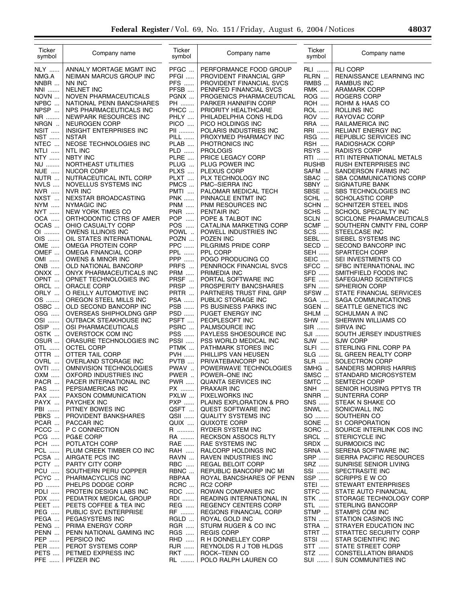| Ticker<br>symbol    | Company name                                         | Ticker<br>symbol   | Company name                                        | Ticker<br>symbol   | Company name                                        |
|---------------------|------------------------------------------------------|--------------------|-----------------------------------------------------|--------------------|-----------------------------------------------------|
| <b>NLY</b>          | ANNALY MORTAGE MGMT INC                              | PFGC               | PERFORMANCE FOOD GROUP                              | RLI                | <b>RLI CORP</b>                                     |
| NMG.A               | NEIMAN MARCUS GROUP INC                              | PFGI               | PROVIDENT FINANCIAL GRP                             | RLRN               | RENAISSANCE LEARNING INC                            |
| NNBR                | NN INC                                               | <b>PFS</b>         | PROVIDENT FINANCIAL SVCS                            | RMBS               | <b>RAMBUS INC</b>                                   |
| NNI                 | <b>NELNET INC</b>                                    | PFSB               | PENNFED FINANCIAL SVCS                              | <b>RMK</b>         | <b>ARAMARK CORP</b>                                 |
| NOVN<br>NPBC        | NOVEN PHARMACEUTICALS                                | PGNX<br>PH         | PROGENICS PHARMACEUTICAL<br>PARKER HANNIFIN CORP    | ROG<br><b>ROH</b>  | ROGERS CORP                                         |
| NPSP                | NATIONAL PENN BANCSHARES<br>NPS PHARMACEUTICALS INC  | PHCC               | PRIORITY HEALTHCARE                                 | <b>ROL</b>         | ROHM & HAAS CO<br>ROLLINS INC                       |
| NR                  | NEWPARK RESOURCES INC                                | PHLY               | PHILADELPHIA CONS HLDG                              | ROV                | RAYOVAC CORP                                        |
| NRGN                | <b>NEUROGEN CORP</b>                                 | PICO               | PICO HOLDINGS INC                                   | <b>RRA</b>         | RAILAMERICA INC                                     |
| NSIT                | <b>INSIGHT ENTERPRISES INC</b>                       | PII                | POLARIS INDUSTRIES INC                              | RRI                | <b>RELIANT ENERGY INC</b>                           |
| <b>NST</b>          | <b>NSTAR</b>                                         | PILL               | PROXYMED PHARMACY INC                               | RSG                | REPUBLIC SERVICES INC                               |
| NTEC<br><b>NTLI</b> | NEOSE TECHNOLOGIES INC<br><b>NTL INC</b>             | PLAB<br>PLD        | PHOTRONICS INC<br><b>PROLOGIS</b>                   | RSH<br>RSYS        | RADIOSHACK CORP<br><b>RADISYS CORP</b>              |
| NTY                 | <b>NBTY INC</b>                                      | PLRE               | PRICE LEGACY CORP                                   | RTI                | RTI INTERNATIONAL METALS                            |
| NU                  | NORTHEAST UTILITIES                                  | PLUG               | PLUG POWER INC                                      | <b>RUSHB</b>       | RUSH ENTERPRISES INC                                |
| NUE<br>$\cdots$     | NUCOR CORP                                           | PLXS               | <b>PLEXUS CORP</b>                                  | SAFM               | SANDERSON FARMS INC                                 |
| NUTR                | NUTRACEUTICAL INTL CORP                              | PLXT               | PLX TECHNOLOGY INC                                  | SBAC               | <b>SBA COMMUNICATIONS CORP</b>                      |
| NVLS                | NOVELLUS SYSTEMS INC                                 | PMCS               | PMC-SIERRA INC                                      | SBNY               | SIGNATURE BANK                                      |
| NVR<br>NXST         | <b>NVR INC</b><br>NEXSTAR BROADCASTING               | PMTI<br><b>PNK</b> | PALOMAR MEDICAL TECH                                | SBSE<br>SCHL       | SBS TECHNOLOGIES INC                                |
| NYM                 | NYMAGIC INC                                          | <b>PNM</b>         | PINNACLE ENTMT INC<br>PNM RESOURCES INC             | SCHN               | <b>SCHOLASTIC CORP</b><br>SCHNITZER STEEL INDS      |
| NYT                 | NEW YORK TIMES CO                                    | <b>PNR</b>         | PENTAIR INC                                         | SCHS               | SCHOOL SPECIALTY INC                                |
| OCA                 | ORTHODONTIC CTRS OF AMER                             | POP                | POPE & TALBOT INC                                   | SCLN               | <b>SCICLONE PHARMACEUTICALS</b>                     |
| OCAS                | OHIO CASUALTY CORP                                   | POS                | CATALINA MARKETING CORP                             | SCMF               | SOUTHERN CMNTY FINL CORP                            |
| OI                  | OWENS ILLINOIS INC                                   | POWL.              | POWELL INDUSTRIES INC                               | <b>SCS </b>        | STEELCASE INC                                       |
| OIS<br>OME          | OIL STATES INTERNATIONAL<br>OMEGA PROTEIN CORP       | POZN<br><b>PPC</b> | POZEN INC<br>PILGRIMS PRIDE CORP                    | SEBL<br>SECD       | SIEBEL SYSTEMS INC                                  |
| OMEF                | OMEGA FINANCIAL CORP                                 | <b>PPL </b>        | PPL CORP                                            | <b>SEH </b>        | SECOND BANCORP INC<br><b>SPARTECH CORP</b>          |
| OMI                 | OWENS & MINOR INC                                    | <b>PPP </b>        | POGO PRODUCING CO                                   | <b>SEIC</b>        | SEI INVESTMENTS CO                                  |
| <b>ONB</b>          | OLD NATIONAL BANCORP                                 | PRFS               | PENNROCK FINANCIAL SVCS                             | SFCC               | SFBC INTERNATIONAL INC                              |
| ONXX                | ONYX PHARMACEUTICALS INC                             | <b>PRM</b>         | PRIMEDIA INC                                        | SFD                | SMITHFIELD FOODS INC                                |
| OPNT                | OPNET TECHNOLOGIES INC                               | PRSF               | PORTAL SOFTWARE INC                                 | SFE                | SAFEGUARD SCIENTIFICS                               |
| ORCL<br>ORLY        | <b>ORACLE CORP</b><br>O REILLY AUTOMOTIVE INC        | PRSP<br>PRTR       | PROSPERITY BANCSHARES<br>PARTNERS TRUST FINL GRP    | <b>SFN</b><br>SFSW | <b>SPHERION CORP</b><br>STATE FINANCIAL SERVICES    |
| OS                  | OREGON STEEL MILLS INC                               | <b>PSA </b>        | PUBLIC STORAGE INC                                  | SGA                | SAGA COMMUNICATIONS                                 |
| OSBC                | OLD SECOND BANCORP INC                               | <b>PSB</b>         | PS BUSINESS PARKS INC                               | SGEN               | SEATTLE GENETICS INC                                |
| OSG                 | OVERSEAS SHIPHOLDNG GRP                              | <b>PSD</b>         | PUGET ENERGY INC                                    | SHLM               | SCHULMAN A INC                                      |
| OSI                 | OUTBACK STEAKHOUSE INC                               | PSFT               | PEOPLESOFT INC                                      | <b>SHW</b>         | SHERWIN WILLIAMS CO                                 |
| OSIP                | OSI PHARMACEUTICALS                                  | PSRC               | PALMSOURCE INC                                      | SIR                | <b>SIRVA INC</b>                                    |
| OSTK<br>OSUR        | <b>OVERSTOCK COM INC</b><br>ORASURE TECHNOLOGIES INC | PSS<br>PSSI        | PAYLESS SHOESOURCE INC<br>PSS WORLD MEDICAL INC     | SJI<br>SJW         | SOUTH JERSEY INDUSTRIES<br><b>SJW CORP</b>          |
| OTL                 | <b>OCTEL CORP</b>                                    | PTMK               | PATHMARK STORES INC                                 | <b>SLFI</b>        | STERLING FINL CORP PA                               |
| OTTR                | OTTER TAIL CORP                                      | <b>PVH </b>        | PHILLIPS VAN HEUSEN                                 | <b>SLG</b>         | SL GREEN REALTY CORP                                |
| OVRL                | OVERLAND STORAGE INC                                 | PVTB               | PRIVATEBANCORP INC                                  | <b>SLR</b>         | SOLECTRON CORP                                      |
| OVTI                | OMNIVISION TECHNOLOGIES                              | PWAV               | POWERWAVE TECHNOLOGIES                              | SMHG               | SANDERS MORRIS HARRIS                               |
| OXM                 | OXFORD INDUSTRIES INC                                | PWER               | POWER-ONE INC                                       | SMSC               | STANDARD MICROSYSTEM                                |
| PACR<br>PAS         | PACER INTERNATIONAL INC<br>PEPSIAMERICAS INC         | <b>PWR</b><br>PX   | QUANTA SERVICES INC<br>PRAXAIR INC                  | SMTC<br>SNH        | <b>SEMTECH CORP</b><br>SENIOR HOUSING PPTYS TR      |
| PAX                 | PAXSON COMMUNICATION                                 | PXLW               | PIXELWORKS INC                                      | SNRR               | SUNTERRA CORP                                       |
| PAYX                | <b>PAYCHEX INC</b>                                   | <b>PXP</b>         | PLAINS EXPLORATION & PRO                            | <b>SNS</b>         | STEAK N SHAKE CO                                    |
| PBI                 | PITNEY BOWES INC                                     | QSFT               | QUEST SOFTWARE INC                                  | SNWL               | SONICWALL INC                                       |
| PBKS                | PROVIDENT BANKSHARES                                 | QSII               | <b>QUALITY SYSTEMS INC</b>                          | SO                 | SOUTHERN CO                                         |
| PCAR<br>PCCC        | <b>PACCAR INC</b><br>P C CONNECTION                  | QUIX<br>R ……….     | QUIXOTE CORP<br>RYDER SYSTEM INC                    | SONE<br>SORC       | S1 CORPORATION<br>SOURCE INTERLINK COS INC          |
| PCG                 | PG&E CORP                                            | RA                 | <b>RECKSON ASSOCS RLTY</b>                          | SRCL               | <b>STERICYCLE INC</b>                               |
| <b>PCH </b>         | POTLATCH CORP                                        | <b>RAE</b>         | RAE SYSTEMS INC                                     | SRDX               | SURMODICS INC                                       |
| <b>PCL </b>         | PLUM CREEK TIMBER CO INC                             | <b>RAH</b>         | RALCORP HOLDINGS INC                                | SRNA               | SERENA SOFTWARE INC                                 |
| PCSA                | AIRGATE PCS INC                                      | RAVN               | RAVEN INDUSTRIES INC                                | SRP                | SIERRA PACIFIC RESOURCES                            |
| PCTY                | PARTY CITY CORP                                      | RBC                | REGAL BELOIT CORP                                   | SRZ                | SUNRISE SENIOR LIVING                               |
| <b>PCU </b><br>PCYC | SOUTHERN PERU COPPER<br>PHARMACYCLICS INC            | RBNC<br>RBPAA      | REPUBLIC BANCORP INC MI<br>ROYAL BANCSHARES OF PENN | SSI<br>SSP         | SPECTRASITE INC<br>SCRIPPS E W CO                   |
| PD                  | PHELPS DODGE CORP                                    | RCRC               | <b>RC2 CORP</b>                                     | STEI               | STEWART ENTERPRISES                                 |
| PDLI                | PROTEIN DESIGN LABS INC                              | RDC                | ROWAN COMPANIES INC                                 | STFC               | STATE AUTO FINANCIAL                                |
| <b>PDX</b>          | PEDIATRIX MEDICAL GROUP                              | RDI                | READING INTERNATIONAL IN                            | <b>STK</b>         | STORAGE TECHNOLOGY CORP                             |
| PEET                | PEETS COFFEE & TEA INC                               | <b>REG</b>         | REGENCY CENTERS CORP                                | STL                | <b>STERLING BANCORP</b>                             |
| <b>PEG</b>          | PUBLIC SVC ENTERPRISE                                | RF                 | REGIONS FINANCIAL CORP<br>ROYAL GOLD INC            | STMP               | STAMPS COM INC                                      |
| PEGA<br>PENG        | PEGASYSTEMS INC<br>PRIMA ENERGY CORP                 | RGLD<br><b>RGR</b> | STURM RUGER & CO INC                                | <b>STN</b><br>STRA | <b>STATION CASINOS INC</b><br>STRAYER EDUCATION INC |
| PENN                | PENN NATIONAL GAMING INC                             | <b>RGS</b>         | <b>REGIS CORP</b>                                   | STRT               | STRATTEC SECURITY CORP                              |
| <b>PEP </b>         | PEPSICO INC                                          | <b>RHD</b>         | R H DONNELLEY CORP                                  | STSI               | STAR SCIENTIFIC INC                                 |
| PER                 | PEROT SYSTEMS CORP                                   | <b>RJR</b>         | REYNOLDS R J TOB HLDGS                              | STT                | STATE STREET CORP                                   |
| PETS                | PETMED EXPRESS INC                                   | <b>RKT</b>         | ROCK-TENN CO                                        | STZ                | <b>CONSTELLATION BRANDS</b>                         |
| <b>PFE</b>          | PFIZER INC                                           | RL                 | POLO RALPH LAUREN CO                                | SUI                | SUN COMMUNITIES INC                                 |